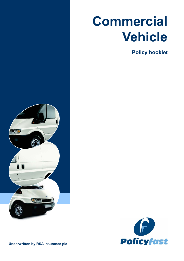# **Commercial Vehicle**

**Policy booklet**





**Underwritten by RSA Insurance plc**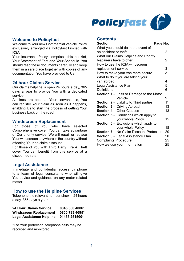

#### **Welcome to Policyfast**

Welcome to Your new Commercial Vehicle Policy exclusively arranged via Policyfast Limited with RSA.

Your insurance Policy comprises this booklet, Your Statement of Fact and Your Schedule. You should read these documents carefully and keep them in a safe place together with copies of any documentation You have provided to Us.

#### **24 hour Claims Service**

Our claims helpline is open 24 hours a day, 365 days a year to provide You with a dedicated service.

As lines are open at Your convenience, You can register Your claim as soon as it happens, enabling Us to start the process of getting Your business back on the road!

#### **Windscreen Replacement**

For those of You who have selected Comprehensive cover, You can take advantage of Our priority service. We will repair or replace Your windscreen anywhere in the country without affecting Your no claim discount.

For those of You with Third Party Fire & Theft cover You can benefit from this service at a discounted rate.

#### **Legal Assistance**

Immediate and confidential access by phone to a team of legal consultants who will give You advice and guidance on any motor-related matter.

#### **How to use the Helpline Services**

Telephone the relevant number shown, 24 hours a day, 365 days a year.

| 24 Hour Claims Service        | 0345 300 4006* |
|-------------------------------|----------------|
| <b>Windscreen Replacement</b> | 0800 783 4695* |
| Legal Assistance Helpline     | 01455 251500*  |

\*For Your protection, telephone calls may be recorded and monitored.

#### **Contents**

| <b>Section</b>                                 | Page No. |
|------------------------------------------------|----------|
| What you should do in the event of             |          |
| an accident or theft                           | 2        |
| What our Claims Helpline and Priority          |          |
| Repairers have to offer                        | 2        |
| How to use the RSA windscreen                  |          |
| replacement service                            | 3        |
| How to make your van more secure               | 3        |
| What to do if you are taking your              |          |
| van abroad                                     | 4        |
| Legal Assistance Plan                          | 5        |
| Definitions                                    | 6        |
| <b>Section 1</b> - Loss or Damage to the Motor |          |
| Vehicle                                        | 9        |
| <b>Section 2</b> - Liability to Third parties  | 11       |
| Section 3 - Driving Abroad                     | 13       |
| <b>Section 4 - Other Clauses</b>               | 13       |
| <b>Section 5</b> - Conditions which apply to   |          |
| your whole Policy                              | 15       |
| <b>Section 6</b> - Exclusions which apply to   |          |
| your whole Policy                              | 18       |
| Section 7 - No Claim Discount Protection       | 20       |
| <b>Section 8</b> - Legal Assistance Plan       | 20       |
| <b>Complaints Procedure</b>                    | 25       |
| How we use your information                    | 25       |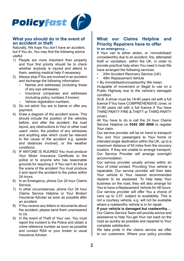

#### **What you should do in the event of an accident or theft**

Naturally, We hope You don't have an accident, but if You do, You may find the following advice useful:

- 1) People are more important than property and Your first priority should be to check whether anybody is injured and attend to them, seeking medical help if necessary.
- 2) Always stop if You are involved in an accident and exchange the following information:
	- Names and addresses (including those of any eye witnesses)
	- Insurance companies and addresses (including policy numbers if known)
	- Vehicle registration numbers.
- 3) Do not admit You are to blame or offer any payment.
- 4) Draw a diagram of the accident scene. This should include the position of the vehicles before, and after the accident, the road layout, any obstructions to Your or other road users' vision, the position of any witnesses and anything else which could be relevant to the cause of the accident e.g. speeds and distances involved, or the weather conditions.
- 5) IF ANYONE IS INJURED You must produce Your Motor Insurance Certificate to the police or to anyone who has reasonable grounds for requiring it. If You can't do this at the scene of the accident You must produce it and report the accident to the police within 24 hours.
- 6) In an Emergency, phone Our 24 hour Claims Service.
- 7) In other circumstances, phone Our 24 hour Claims Service Helpline or Your Broker/ Insurance Adviser as soon as possible after an accident.
- 8) If You receive any letters or documents about the accident, please send them unanswered to Us.
- 9) In the event of Theft of Your van, You must report the incident to the Police and obtain a crime reference number as soon as possible and contact RSA or your broker or usual Insurance Advisor.

#### **What our Claims Helpline and Priority Repairers have to offer In an emergency…**

If Your van is either stolen, or +immobilised/ unroadworthy due to an accident, fire, attempted theft or vandalism, within the UK, in order to provide practical help when You need it most We have arranged the following services:

- 24hr Accident Recovery Service (UK)
- 48hr Replacement Vehicle
- + By immobilised/unroadworthy We mean:

Incapable of movement or illegal to use on a Public Highway due to the vehicle's damaged condition.

(N.B. A driver must be 18-80 years old with a full licence if You have COMPREHENSIVE cover, or 21-80 years old with a full licence if You have THIRD PARTY FIRE & THEFT or THIRD PARTY cover).

All You have to do is call the 24 hour Claims Service Helpline on **0345 300 4006** to register Your claim.

Our service provider will be on hand to transport You and Your passengers to Your home or intended single destination within the UK, up to a maximum distance of 50 miles from the recovery location. If they are unable to arrange transport Our Service Provider will arrange overnight accommodation.

Our service provider usually arrives within an hour of initial contact. Providing Your vehicle is repairable, Our service provider will then take Your vehicle to Your nearest recommended repairer to be assessed. To help keep Your business on the road, they will also arrange for You to have a Replacement Vehicle for 48 hours. Our service provider will offer You a choice of vans up to 3.5T, subject to availability. This is not a courtesy vehicle, e.g. will not be available where a roadworthy vehicle is in for repair.

**If your vehicle is damaged but roadworthy…**

Our Claims Service Team will provide advice and assistance to help You get Your van back on the road as quickly as possible and repaired to Your complete satisfaction.

We take pride in the claims service we offer to our customers. Where your policy provides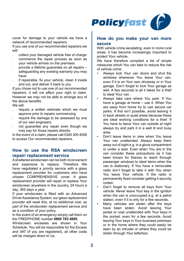

cover for damage to your vehicle we have a network of recommended repairers.

If you use one of our recommended repairers we will:

- . collect your damaged vehicle free of charge
- . commence the repair process as soon as your vehicle arrives on the premises
- . provide a lifetime guarantee on all repairs safeguarding any existing warranty you may have.
- if repairable, fix your vehicle, clean it inside and out, and deliver it back to you

If you chose not to use one of our recommended repairers, it will not affect your right to claim. However we may not be able to arrange any of the above benefits.

We will:

- . require a written estimate which we must approve prior to repairs commencing
- require the damage to be assessed by one of our own engineers
- . not guarantee any repair even though we may pay for those repairs directly

In the event of a claim, please call 0345 300 4006 to access Our recommended repairers.

# **How to use the RSA windscreen repair/ replacement service**

A shattered windscreen can be both inconvenient and expensive to replace. Therefore We have negotiated a priority service with a glass replacement provider for customers who have chosen COMPREHENSIVE cover. A glass replacement provider will repair or replace Your windscreen anywhere in the country, 24 hours a day, 365 days a year.

If your windscreen is fitted with an Advanced Driver Assistance System, our glass replacement provider will reset this, at no additional cost, as part of the windscreen replacement service and as a condition of your policy.

In the event of an emergency simply call them on the FREEPHONE number **0800 783 4695**.

Windscreen excesses are shown in Your Schedule. You will be responsible for the Excess and VAT (if you are registered), all other costs will be charged direct to Us.

#### **How do you make your van more secure**

With vehicle crime escalating, even in more rural areas, it has become increasingly important to protect Your vehicle.

We have therefore compiled a list of simple measures which You can take to reduce the risk of vehicle crime:

- Always lock Your van doors and shut the windows whenever You leave Your van even if it is on Your own driveway or in Your garage. Don't forget to lock Your garage as well. A few seconds is all it takes for a thief to steal Your van.
- Always take care where You park. If You have a garage at home – use it. When You are away from home try to use secure car parks. If this isn't possible, avoid leaving it in back streets or quiet areas because these are ideal working conditions for a thief. If You have to leave Your van outside at night always try and park it in a well lit and busy area.
- Don't leave items in view when You leave Your van unattended. Always keep them away out of sight e.g. in a glove compartment or under a seat. Even when You are in the van consider these precautions as it has been known for thieves to reach through passenger windows to steal items when the van is stationary. If You have a removable radio don't forget to take it with You when You leave Your vehicle. If the radio is permanently fixed consider getting it security coded.
- Don't forget to remove all keys from Your vehicle. Never leave Your key in the ignition when the van is unoccupied e.g. at a petrol station, even if it is only for a few seconds.
- Many vehicles are stolen after the keys have been stolen. Avoid leaving Your jacket or coat unattended with Your keys in the pocket, even for a few seconds. Avoid leaving Your keys in Your business premises or in the home where they could easily be seen by an intruder or where they could be stolen through Your letterbox.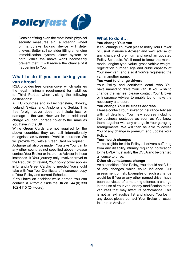

• Consider fitting even the most basic physical security measures e.g. a steering wheel or handbrake locking device will deter thieves. Better still consider fitting an engine immobilisation system, alarm system or both. While the above won't necessarily prevent theft, it will reduce the chance of it happening to You.

#### **What to do if you are taking your van abroad**

RSA provides free foreign cover which satisfies the legal minimum requirement for liabilities to Third Parties when visiting the following destinations:

All EU countries and in Liechtenstein, Norway, Iceland, Switzerland, Andorra and Serbia. This free foreign cover does not include loss or damage to the van. However for an additional charge You can upgrade cover to the same as You have in the UK.

While Green Cards are not required for the above countries they are still internationally recognised as evidence of vehicle insurance. We will provide You with a Green Card on request.

A charge will also be made if You take Your van to any other countries not specified above - please contact Your Broker or Insurance Adviser in these instances. If Your journey only involves travel to the Republic of Ireland, Your policy cover applies in full and a Green Card is not needed. You should take with You Your Certificate of Insurance, copy of Your Policy and current Schedule.

If You have an accident while abroad You can contact RSA from outside the UK on +44 (0) 330 102 4115 (24Hours).

# **What to do if…**

#### **You change Your van**

If You change Your van please notify Your Broker or usual Insurance Adviser and we'll advise of any change of premium and send an updated Policy Schedule. We'll need to know the make, model, engine type, value, gross vehicle weight, registration number, age and cubic capacity of Your new van, and also if You've registered the van in another name.

#### **You want to change drivers**

Your Policy and certificate detail who You have named to drive Your van. If You wish to change the names, please contact Your Broker or Insurance Adviser to enable Us to make the necessary alteration.

#### **You change Your business address**

Please contact Your Broker or Insurance Adviser with full details of Your new address including the business postcode as soon as You know them, together with any change in Your garaging arrangements. We will then be able to advise You of any change in premium and update Your Policy.

#### **Your health changes**

To be eligible for this Policy all drivers suffering from any disability/infirmity requiring notification to the DVLA must notify the DVLA and be granted a licence to drive.

#### **Other circumstances change**

As a condition of the Policy, You should notify Us of any changes which could influence Our assessment of risk. Examples of such a change would be if You or any other named driver have been convicted of a motoring offence, a change in the use of Your van, or any modification to the van itself that may affect its performance. This is not an exhaustive list and should You be in any doubt please contact Your Broker or usual Insurance Adviser.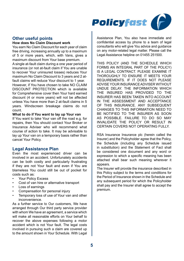

#### **Other useful points How does No Claim Discount work**

You earn No Claim Discount for each year of claim

free driving, increasing annually up to a maximum of 5 or more years, which, with Vans, gives a maximum discount from Your base premium. A single at-fault claim during a one year period of insurance (or not at-fault claim if You are unable to recover Your uninsured losses) reduces Your maximum No Claim Discount to 3 years and 2 atfault claims will reduce Your discount to 1 year. However, if You have chosen to take NO CLAIM DISCOUNT PROTECTION which is available for Comprehensive cover then Your hard earned discount (4 or more years) will not be affected unless You have more than 2 at-fault claims in 5 years. Windscreen breakage claims do not count.

**What to do if You want to lay up Your van**

If You want to take Your van off the road e.g. for repairs, then You should contact Your Broker or Insurance Adviser who will recommend what course of action to take. It may be advisable to lay up Your van on a temporary basis rather than cancel Your Policy.

#### **Legal Assistance Plan**

Even the most experienced driver can be involved in an accident. Unfortunately accidents can be both costly and particularly frustrating if they are not Your fault and even if You are blameless You could still be out of pocket for costs such as:

- Your Policy Excess
- Cost of van hire or alternative transport
- Loss of earnings
- Compensation for personal injury
- Temporary loss of use of Your van and other inconvenience.

As a further service to Our customers, We have arranged through Our third party service provider with whom We have an agreement, a service which will make all reasonable efforts on Your behalf to recover the above expenses following a motor accident which is not Your fault. The legal costs involved in pursuing such a claim are covered up to the amount shown in Your Schedule. With Legal Assistance Plan, You also have immediate and confidential access by phone to a team of legal consultants who will give You advice and guidance on any motor-related legal matter. Please call the Legal Assistance helpline on 01455 251500.

THIS POLICY (AND THE SCHEDULE WHICH FORMS AN INTEGRAL PART OF THE POLICY) IS A LEGAL CONTRACT. PLEASE EXAMINE IT THOROUGHLY TO ENSURE IT MEETS YOUR REQUIREMENTS. IF IT DOES NOT PLEASE ADVISE YOUR INSURANCE ADVISER WITHOUT UNDUE DELAY. THE INFORMATION WHICH THE INSURED HAS PROVIDED TO THE INSURER HAS BEEN TAKEN INTO ACCOUNT IN THE ASSESSMENT AND ACCEPTANCE OF THIS INSURANCE. ANY SUBSEQUENT CHANGES TO THIS INFORMATION NEED TO BE NOTIFIED TO THE INSURER AS SOON AS POSSIBLE. FAILURE TO DO SO MAY INVALIDATE THE POLICY OR RESULT IN CERTAIN COVERS NOT OPERATING FULLY.

RSA Insurance Insurance plc (herein called the Insurer) and the Policyholder agree that the Policy, the Schedule (including any Schedule issued in substitution) and the Statement of Fact shall be considered one document and any word or expression to which a specific meaning has been attached shall bear such meaning wherever it appears

The Insurer will provide the insurance described in this Policy subject to the terms and conditions for the Period of Insurance shown in the Schedule and any subsequent period for which the Policyholder shall pay and the Insurer shall agree to accept the premium.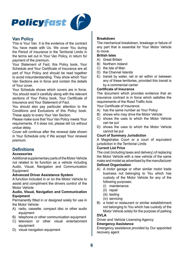

### **Van Policy**

This is Your Van. It is the evidence of the contract You have made with Us. We cover You during the Period of Insurance in the Territorial Limits in the terms set out in Your Van Policy, in return for payment of the premium.

Your Statement of Fact, this Policy book, Your Schedule and Your Certificate of Insurance are all part of Your Policy and should be read together to avoid misunderstanding. They show which Your Van Sections are in force and contain the details of Your cover.

Your Schedule shows which covers are in force. You should read it carefully along with the relevant sections of Your Policy book, Your Certificate of Insurance and Your Statement of Fact.

You should also pay particular attention to the Conditions and Exclusions of this Policy book. These apply to every Your Van Section.

Please make sure that Your Van Policy meets Your requirements. If it does not, please tell Us without undue delay.

Cover will continue after the renewal date shown in Your Schedule only if We accept Your renewal premium.

### **Definitions**

#### **Accessories**

Additional supplementary parts of the Motor Vehicle not related to its function as a vehicle including Audio, Visual, Navigation and Communication Equipment

#### **Advanced Driver Assistance System**

A function included in or on the Motor Vehicle to assist and compliment the drivers control of the Motor Vehicle

#### **Audio, Visual, Navigation and Communication Equipment**

Permanently fitted in or designed solely for use in the Motor Vehicle:

- A) radio, cassette, compact disc or other audio equipment
- B) telephone or other communication equipment
- C) television or other visual entertainment equipment
- D) visual navigation equipment

#### **Breakdown**

The mechanical breakdown, breakage or failure of any part that is essential for Your Motor Vehicle to move.

#### **British Isles**

- A) Great Britain
- B) Northern Ireland
- C) the Isle of Man
- D) the Channel Islands
- $\overline{F}$ ) transit by water, rail or air within or between any of these territories, provided this transit is by a commercial carrier

#### **Certificate of Insurance**

The document which provides evidence that an insurance contract is in force which satisfies the requirements of the Road Traffic Acts

Your Certificate of Insurance:

- A) has the same number as Your Policy
- B) shows who may drive the Motor Vehicle
- C) shows the uses to which the Motor Vehicle can be put
- D) shows the uses to which the Motor Vehicle cannot be put

#### **Court of Summary Jurisdiction**

A Magistrates Court or a court of equivalent jurisdiction in the Territorial Limits

#### **Current List Price**

The cost (including taxes and delivery) of replacing the Motor Vehicle with a new vehicle of the same make and model as advertised by the manufacturer **Defined Organisation**

- A) A motor garage or other similar motor trade business not belonging to You which has custody of the Motor Vehicle for any of the following purposes:
	- (i) maintenance
	- (ii) repair
	- (iii) testing
	- (iv) servicing
- B) a hotel or restaurant or similar establishment not belonging to You which has custody of the Motor Vehicle solely for the purpose of parking

#### **DVLA**

Driver and Vehicle Licensing Agency

#### **Emergency Assistance**

Emergency assistance provided by Our appointed recovery agent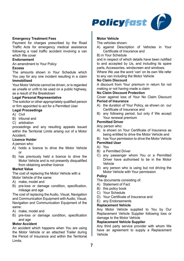

#### **Emergency Treatment Fees**

Payment for charges prescribed by the Road Traffic Acts for emergency medical assistance following a road traffic accident involving a van which We cover

#### **Endorsement**

An amendment to Your Policy

#### **Excess**

The amounts shown in Your Schedule which You pay for any one incident resulting in a claim **Immobilised**

Your Motor Vehicle cannot be driven, or is regarded as unsafe or unfit to be used on a public highway, as a result of the Breakdown

#### **Legal Personal Representative**

The solicitor or other appropriately qualified person or firm appointed to act for a Permitted User

#### **Legal Proceedings**

- A) Civil
- B) tribunal and
- C) arbitration

proceedings and any resulting appeals issued within the Territorial Limits arising out of a Motor Accident.

#### **Licence Holder**

A person who:

- A) holds a licence to drive the Motor Vehicle or
- B) has previously held a licence to drive the Motor Vehicle and is not presently disqualified from obtaining another licence

#### **Market Value**

The cost of replacing the Motor Vehicle with a Motor Vehicle of the same:

- A) make, model and
- B) pre-loss or damage condition, specification, mileage and age

The cost of replacing the Audio, Visual, Navigation and Communication Equipment with Audio, Visual, Navigation and Communication Equipment of the same:

- A) make, model and
- B) pre-loss or damage condition, specification and age

#### **Motor Accident**

An accident which happens when You are using the Motor Vehicle or an attached Trailer during the Period of Insurance and within the Territorial Limits.

#### **Motor Vehicle**

The vehicles shown:

- A) against Description of Vehicles in Your Certificate of Insurance and
- B) in Your Schedule

and in respect of which details have been notified to and accepted by Us, and including its spare parts, Accessories, windscreen and windows.

Where We use the word 'van' on its own We refer to any van including the Motor Vehicle

#### **No Claim Discount**

A discount from Your premium in return for not making or not having made a claim

#### **No Claim Discount Protection**

Cover against loss of Your No Claim Discount **Period of Insurance**

- A) the duration of Your Policy, as shown on our Certificate of Insurance and
- B) any following period, but only if We accept Your renewal premium

#### **Permitted Driver**

Any person who:

- A) is shown on Your Certificate of Insurance as being entitled to drive the Motor Vehicle and
- B) has Your permission to drive the Motor Vehicle
- **Permitted User**

#### A) You

- B) a Permitted Driver
- C) any passenger whom You or a Permitted Driver have authorised to be in the Motor Vehicle
- D) any person who is using but not driving the Motor Vehicle with Your permission

#### **Policy**

The documents consisting of:

- A) Statement of Fact
- B) this policy book
- C) Your Schedule
- D) Your Certificate of Insurance and
- E) any Endorsements

#### **Replacement Vehicle**

Any Motor Vehicle supplied to You by Our Replacement Vehicle Supplier following loss or damage to the Motor Vehicle

#### **Replacement Vehicle Supplier**

Any third party service provider with whom We have an agreement to supply a Replacement Vehicle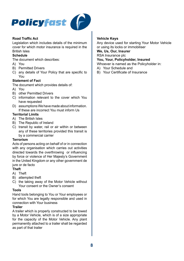

#### **Road Traffic Act**

Legislation which includes details of the minimum cover for which motor insurance is required in the British Isles

#### **Schedule**

The document which describes:

- A) You
- B) Permitted Drivers
- C) any details of Your Policy that are specific to You

#### **Statement of Fact**

The document which provides details of:

- A) You
- B) other Permitted Drivers
- C) information relevant to the cover which You have requested
- D) assumptions We have made about information. If these are incorrect You must inform Us

#### **Territorial Limits**

- A) The British Isles
- B) The Republic of Ireland
- C) transit by water, rail or air within or between any of these territories provided this transit is by a commercial carrier

#### **Terrorism**

Acts of persons acting on behalf of or in connection with any organisation which carries out activities directed towards the overthrowing or influencing by force or violence of Her Majesty's Government in the United Kingdom or any other government de jure or de facto

#### **Theft**

- A) Theft
- B) attempted theft
- C) the taking away of the Motor Vehicle without Your consent or the Owner's consent

#### **Tools**

Hand tools belonging to You or Your employees or for which You are legally responsible and used in connection with Your business

#### **Trailer**

A trailer which is properly constructed to be towed by a Motor Vehicle, which is of a size appropriate for the capacity of the Motor Vehicle. Any plant permanently attached to a trailer shall be regarded as part of that trailer

#### **Vehicle Keys**

Any device used for starting Your Motor Vehicle or using its locks or immobiliser

#### **We, Us, Our, Insurer** RSA Insurance plc

#### **You, Your, Policyholder, Insured**

Whoever is named as the Policyholder in:

- A) Your Schedule and
- B) Your Certificate of Insurance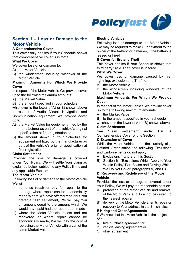

# **Section 1 – Loss or Damage to the Motor Vehicle**

#### **A Comprehensive Cover**

This cover only applies if Your Schedule shows that comprehensive cover is in force

#### **What We Cover**

We cover loss of or damage to:

- A) the Motor Vehicle
- B) the windscreen including windows of the Motor Vehicle

#### **Maximum Amounts For Which We Provide Cover**

In respect of the Motor Vehicle We provide cover up to the following maximum amounts:

A) the Market Value

B) the amount specified in your schedule

whichever is the lower of A) or B) shown above In respect of Audio, Visual, Navigation and Communication equipment We provide cover up to:

- A) the Market Value for equipment fitted by the manufacturer as part of the vehicle's original specification at first registration or
- B) the amount shown in Your Schedule for equipment not fitted by the manufacturer as part of the vehicle's original specification at first registration

#### **Claim Settlement**

Provided the loss or damage is covered under Your Policy, We will settle Your claim as explained below, subject to any Policy limits and any applicable Excess:

#### **The Motor Vehicle**

Following loss of or damage to the Motor Vehicle We will:

- (i) authorise repair or pay for repair to the damage where repair can be economically made Where We have offered repair but You prefer a cash settlement, We will pay You an amount equal to the amount which We would have paid had the repair been made
- (ii) where the Motor Vehicle is lost and not recovered or where repair cannot be economically made, We will pay the cost of replacing the Motor Vehicle with a van of the same Market Value

#### **Electric Vehicles**

Following loss or damage to the Motor Vehicle We may be required to make Our payment to the owner of the battery, or batteries, if the battery is leased or hired

#### **B Cover for fire and Theft**

This cover applies if Your Schedule shows that third party fire & Theft cover is in force

#### **What We Cover**

We cover loss or damage caused by fire lightning, explosion and Theft to:

- A) the Motor Vehicle
- B) the windscreen including windows of the Motor Vehicle

#### **Maximum Amounts For Which We Provide Cover**

In respect of the Motor Vehicle We provide cover up to the following maximum amounts:

A) the Market Value

B) to the amount specified in your schedule

whichever is the lower of A) or B) shown above

# **Claim Settlement**<br>See 'claim se

settlement' under Part A Comprehensive Cover of this Section

#### **C Extension of Cover**

While the Motor Vehicle is in the custody of a Defined Organisation the following Exclusions and Endorsements do not apply:

- A) Exclusions 1 and 2 of this Section
- B) Section 6 'Exclusions Which Apply to Your Whole Policy' Part B Use and Driving Which We Do Not Cover, paragraphs A) and C)

#### **D Recovery and Redelivery of the Motor Vehicle**

Provided the loss or damage is covered under Your Policy, We will pay the reasonable cost of:

- A) protection of the Motor Vehicle and removal of the Motor Vehicle, if it cannot be driven, to the nearest repairer
- B) delivery of the Motor Vehicle after its repair or recovery to Your address in the British Isles

#### **E Hiring and Other Agreements**

If We know that the Motor Vehicle is the subject of a:

- A) hire purchase agreement or
- B) vehicle leasing agreement or
- C) other agreement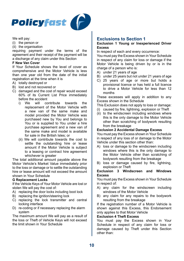

We will pay:

- (i) the person or
- (ii) the organisation

requiring payment under the terms of the agreement and their receipt of the payment will be a discharge of any claim under this Section

#### **F New Van Cover**

If Your Schedule shows the level of cover as comprehensive and the Motor Vehicle is less than one year old from the date of the initial registration at the time when it is

- A) totally destroyed or
- B) lost and not recovered or
- C) damaged and the cost of repair would exceed 60% of its Current List Price immediately before the accident<br>i) We will co
	- contribute towards the replacement of the Motor Vehicle with a new van of the same make and model provided the Motor Vehicle was purchased new by You and belongs to You or is supplied to You under a hire purchase agreement and a new van of the same make and model is available for sale in the British Isles; or
	- (ii) We will contribute towards the cost to settle the outstanding hire or lease amount if the Motor Vehicle is subject to a leasing or contract hire agreement whichever is greater

The total additional amount payable above the Motor Vehicle's Market Value immediately prior to the loss or damage or to settle the outstanding hire or lease amount will not exceed the amount shown in Your Schedule

#### **G Replacement Locks**

If the Vehicle Keys of Your Motor Vehicle are lost or stolen We will pay the cost of:

- A) replacing the door locks including boot lock
- B) replacing the ignition/steering lock
- C) replacing the lock transmitter and central locking interface
- D) re-coding or if necessary replacing the alarm system

The maximum amount We will pay as a result of the loss or Theft of Vehicle Keys will not exceed the limit shown in Your Schedule

#### **Exclusions to Section 1**

#### **Exclusion 1 Young or Inexperienced Driver Excess**

In respect of each and every occurrence:

You must pay the Excess shown in Your Schedule in respect of any claim for loss or damage if the Motor Vehicle is being driven by or is in the charge of a person who is:

- A) under 21 years of age
- B) under 25 years but not under 21 years of age
- C) 25 years of age or more but holds a provisional licence or has held a full licence to drive a Motor Vehicle for less than 12 months

These excesses will apply in addition to any Excess shown in the Schedule

This Exclusion does not apply to loss or damage:

- (i) caused by fire, lightning, explosion or Theft
- (ii) to the windscreen including windows where this is the only damage to the Motor Vehicle other than scratching of bodywork resulting from the breakage

#### **Exclusion 2 Accidental Damage Excess**

You must pay the Excess shown in Your Schedule in respect of any loss of or damage to the Motor Vehicle under this section other than:

- A) loss or damage to the windscreen including windows where this is the only damage to the Motor Vehicle other than scratching of bodywork resulting from the breakage
- B) loss or damage caused by fire, lightning, explosion or Theft

#### **Exclusion 3 Windscreen and Windows Excess**

You must pay the Excess shown in Your Schedule in respect of:

- A) any claim for the windscreen including windows of the Motor Vehicle
- B) any claim for any repairs to the bodywork resulting from the breakage

If the registration number of a Motor Vehicle is shown against this Excess, this Endorsement only applies to that Motor Vehicle

#### **Exclusion 4 Theft Excess**

You must pay the Excess shown in Your Schedule in respect of any claim for loss or damage caused by Theft under this Section other than: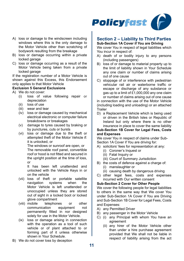

- A) loss or damage to the windscreen including windows where this is the only damage to the Motor Vehicle other than scratching of bodywork resulting from the breakage
- B) loss or damage occurring within a private locked garage
- C) loss or damage occurring as a result of the Motor Vehicle being taken from a private locked garage

If the registration number of a Motor Vehicle is shown against this Excess, this Endorsement only applies to that Motor Vehicle

#### **Exclusion 5 General Exclusions**

- A) We do not cover:
	- (i) loss of value following repair or depreciation
	- (ii) loss of use
	- (iii) wear and tear
	- (iv) loss or damage caused by mechanical electrical electronic or computer failure breakdowns or breakages
	- (v) damage to tyres caused by braking or by punctures, cuts or bursts
	- (vi) loss or damage due to the theft or attempted theft of the Motor Vehicle if: it is unlocked, or

The windows or sunroof are open, or The removable roof panel, convertible roof or hood is not fitted and secured in the upright position at the time of loss. or

It has been left unattended and unlocked with the Vehicle Keys in or on the vehicle

- (vii) loss of theft or portable satellite navigation Motor Vehicle is left unattended or unoccupied unless they are stored out of sight in a locked boot or locked glove compartment<br>mobile telephones
- (viii) mobile telephones or other communication permanently fitted in nor designed solely for use in the Motor Vehicle.
- (ix) loss or damage arising in connection with the operation as a tool of such vehicle or of plant attached to or forming part of it unless otherwise shown in Your Schedule.

**Section 2 – Liability to Third Parties**

**Sub-Section 1A Cover if You are Driving** We cover You in respect of legal liabilities which You incur in respect of:

- A) death of or bodily injury to any persons (including passengers)
- B) loss of or damage to material property up to the limit of liability shown in Your Schedule any one claim or number of claims arising out of one cause
- C) stoppage of or interference with pedestrian vehicular rail air or waterborne traffic or escape or discharge of any substance or gas up to a limit of £1,000,000 any one claim or number of claims arising out of one cause

in connection with the use of the Motor Vehicle (including loading and unloading) or an attached Trailer

D) a Replacement Vehicle which is being used or driven in the British Isles or Republic of Ireland but only where there is no other insurance in place to cover the same liability

#### **Sub-Section 1B Cover for Legal Fees, Costs and Expenses**

We cover You in respect of claims under Sub-Section 1A Cover if You are driving for:

- A) solicitors' fees for representation at any:
	- (i) Coroner's Inquest or
	- (ii) Fatal Inquiry or
	- (iii) Court of Summary Jurisdiction
- B) the costs of defence against a charge of:
	- (i) manslaughter or
	- (ii) causing death by dangerous driving
- C) other legal fees, costs and expenses incurred with Our written consent

#### **Sub-Section 2 Cover for Other People**

We cover the following people for legal liabilities to others in the same way that We cover You under Sub-Section 1A Cover if You are Driving and Sub-Section 1B Cover for Legal Fees, Costs and Expenses:

- A) any Permitted Driver
- B) any passenger in the Motor Vehicle
- C) (i) any Principal with whom You have an agreement
	- (ii) any hirer of the Motor Vehicle other than under a hire purchase agreement provided that We shall not be liable in respect of liability arising from the act

B) We do not cover loss by deception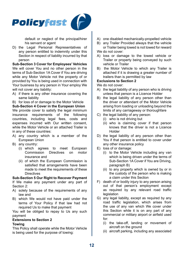

default or neglect of the principal/hirer his servant or agent

D) the Legal Personal Representatives of any person entitled to indemnity under this Section in respect of liability incurred by that person

**Sub-Section 3 Cover for Employees' Vehicles** We will cover You and no other person in the terms of Sub-Section 1A Cover if You are driving while any Motor Vehicle not the property of or provided by You is being used in connection with Your business by any person in Your employ We will not cover any liability:

A) if there is any other insurance covering the same liability

B) for loss of or damage to the Motor Vehicle **Sub-Section 4 Cover in the European Union** We provide cover to satisfy the legal minimum insurance requirements of the following countries, including legal fees, costs and expenses incurred with Our written consent, while the Motor Vehicle or an attached Trailer is in any of these countries:

- A) any country which is a member of the European Union
- B) any country:
	- (i) which agrees to meet European<br>Commission Directives on motor Commission insurance and
	- (ii) of which the European Commission is satisfied that arrangements have been made to meet the requirements of these **Directives**

#### **Sub-Section 5 Our Right to Recover Payment**

If We make any payment under any part of Section 2:

- A) solely because of the requirements of any law and
- B) which We would not have paid under the terms of Your Policy if that law had not required Us to make that payment

You will be obliged to repay to Us any such payment

#### **Extensions to Section 2**

#### **Towing**

This Policy shall operate while the Motor Vehicle is being used for the purpose of towing:

- A) one disabled mechanically-propelled vehicle
- B) any Trailer Provided always that the vehicle or Trailer being towed is not towed for reward We do not cover:
- A) loss or damage to the towed vehicle or Trailer or property being conveyed by such vehicle or Trailer
- B) the Motor Vehicle to which any Trailer is attached if it is drawing a greater number of trailers than is permitted by law

#### **Exclusions to Section 2**

We do not cover:

- A) the legal liability of any person who is driving unless that person is a Licence Holder
- B) the legal liability of any person other than the driver or attendant of the Motor Vehicle arising from loading or unloading beyond the limits of any carriageway or thoroughfare
- C) the legal liability of any person:
	- (i) who is not driving but
	- (ii) who is claiming cover if that person knows that the driver is not a Licence Holder
- D) the legal liability of any person other than You if that person is entitled to cover under any other insurance policy
- E) loss of or damage:
	- (i) to the Motor Vehicle including any van which is being driven under the terms of Sub-Section 1A Cover if You are Driving, paragraph B)
	- (ii) to any property which is owned by or in the custody of the person who is making a claim under this Section
- F) death of or bodily injury to any person arising out of that person's employment except as required by any relevant road traffic **legislation**
- G) any legal liability, except as required by any road traffic legislation, which arises from the use of any van which We cover under this Section while it is on any part of any commercial or military airport or airfield used for:
	- (i) the take-off, landing or movement of aircraft on the ground
	- (ii) aircraft parking, including any associated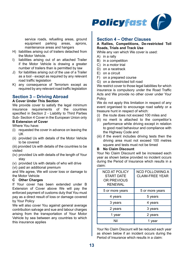

service roads, refuelling areas, ground<br>equipment parking areas, aprons. equipment parking areas, aprons, maintenance areas and hangars

- H) liabilities arising out of trailers detached from the Motor Vehicle.
- I) liabilities arising out of an attached Trailer if the Motor Vehicle is drawing a greater number of trailers than is permitted by law
- J) for liabilities arising out of the use of a Trailer as a tool - except as required by any relevant road traffic legislation
- K) any consequence of Terrorism except as required by any relevant road traffic legislation

#### **Section 3 – Driving Abroad**

#### **A Cover Under This Section**

We provide cover to satisfy the legal minimum insurance requirements of the countries specified in Section 2 - Liability to Third Parties Sub- Section 4 Cover in the European Union only

### **B Extension of Cover**

Where You have:

- (i) requested the cover in advance on leaving the UK
- (ii) provided Us with details of the Motor Vehicle to be covered

(iii) provided Us with details of the countries to be visited

- (iv) provided Us with details of the length of Your stay
- (v) provided Us with details of who will drive
- (vi) paid an additional premium

and We agree, We will cover loss or damage to the Motor Vehicle

#### **C Other Charges**

If Your cover has been extended under B Extension of Cover above We will pay the enforced payment of customs duty that You must pay as a direct result of loss or damage covered by Your Policy

We will also cover You against general average contribution salvage and sue and labour charges arising from the transportation of Your Motor Vehicle by sea between any countries to which this insurance applies

#### **Section 4 – Other Clauses**

#### **A Rallies, Competitions, De-restricted Toll Roads, Trials and Track Use**

While any van which We cover is used:

- A) in a rally
- B) in a competition
- C) in a motor trial
- D) on a racetrack
- E) on a circuit
- F) on a prepared course
- G) on a derestricted toll road

We restrict cover to those legal liabilities for which insurance is compulsory under the Road Traffic Acts and We provide no other cover under Your Policy

We do not apply this limitation in respect of any event organised to encourage road safety or a treasure hunt in respect of which:

- (i) the route does not exceed 100 miles and
- (ii) no merit is attached to the competitor's performance while driving except in relation to good road behaviour and compliance with the Highway Code and
- (iii) if the event includes driving tests then the driving area must not exceed 100 metres square and tests must not be timed

#### **B No Claim Discount**

Your No Claim Discount will be increased each year as shown below provided no incident occurs during the Period of Insurance which results in a claim:

| <b>NCD AT POLICY</b><br><b>START DATE</b><br>OR PREVIOUS<br><b>RENEWAL</b> | <b>NCD FOLLOWING A</b><br><b>CLAIM-FREE YEAR</b> |
|----------------------------------------------------------------------------|--------------------------------------------------|
| 5 or more years                                                            | 5 or more years                                  |
| 4 years                                                                    | 5 years                                          |
| 3 years                                                                    | 4 years                                          |
| 2 years                                                                    | 3 years                                          |
| 1 year                                                                     | 2 years                                          |
| Nil                                                                        | 1 vear                                           |

Your No Claim Discount will be reduced each year as shown below if an incident occurs during the Period of Insurance which results in a claim: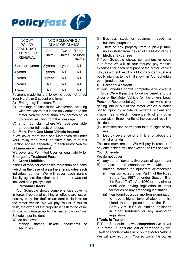

| <b>NCD AT</b><br><b>POLICY</b>                     | <b>NCD FOLLOWING A</b><br><b>CLAIM OR CLAIMS</b> |               |                            |
|----------------------------------------------------|--------------------------------------------------|---------------|----------------------------|
| <b>START DATE</b><br>OR PREVIOUS<br><b>RFNFWAI</b> | One<br>Claim                                     | Two<br>Claims | Three<br>or More<br>Claims |
| 5 or more years                                    | 3 years                                          | 1 year        | Nil                        |
| 4 years                                            | 2 years                                          | Nil           | Nil                        |
| 3 years                                            | 1 year                                           | Nil           | Nil                        |
| 2 years                                            | Nil                                              | Nil           | Nil                        |
| vear                                               | Nil                                              | Nil           | Nil                        |

Payment made for the following does not affect Your No Claim Discount entitlement:

- A) Emergency Treatment Fees
- B) breakage of glass in the windscreen including windows where this is the only damage to the Motor Vehicle other than any scratching of bodywork resulting from the breakage
- C) a non fault claim where We have been able to recover full costs or losses

#### **C More Than One Motor Vehicle Insured**

If We cover more than one Motor Vehicle under Your Policy then Part B no claim discount of this Section applies separately to each Motor Vehicle

#### **D Emergency Treatment**

We cover any Permitted User for legal liability for Emergency Treatment Fees

#### **E Cross Liabilities**

If the Policyholder comprises more than one party (which in the case of a partnership includes each individual partner) We will cover each party's liability against the other as if the other was not included as a policyholder

#### **F Personal Effects**

If Your Schedule shows comprehensive cover is in force, if personal clothing or effects are lost or destroyed by fire, theft or accident while in or on the Motor Vehicle We will pay You or if You so wish, the owner of the property in cash to the value of loss or damage up to the limit shown in Your Schedule per incident

We do not cover :

(i) Money, stamps, tickets, documents or securities

- (ii) Business stock or equipment used for business purposes
- (iii) Theft of any property from a pickup truck unless stolen from the cab of the Motor Vehicle

#### **G Medical Expenses**

If Your Schedule shows comprehensive cover is in force We will, at Your request, pay medical expenses for each occupant of the Motor Vehicle who, as a direct result of a Motor Accident sustains bodily injury up to the limit shown in Your Schedule per injured person

#### **H Personal Accident**

If Your Schedule shows comprehensive cover is in force We will pay the following benefits to the driver of the Motor Vehicle (or the drivers Legal Personal Representative) if the driver while in or getting into or out of the Motor Vehicle sustains bodily injury by accidental external violent and visible means which independently of any other cause within three months of the accident result in:

- (i) death
- (ii) complete and permanent loss of sight of any eye
- (iii) loss by severance of a limb at or above the wrist or ankle

The maximum amount We will pay in respect of any one incident will not exceed the limit shown in Your Schedule

We do not cover:

- A) any person seventy five years of age or over
- B) an accident in connection with which the driver sustaining the injury fatal or otherwise
	- (i) was convicted under Part 1 of the Road Safety Act 1967 or under Section 6 of the Road Traffic Act 1960 or any similar drink and driving legislation in other territories or any amending legislation
	- (ii) was found by a post mortem examination to have a higher level of alcohol in his blood than is prescribed in the Road Safety Act 1967 or similar legislation in other territories or any amending legislation

#### **I Tools in Transit**

If Your Schedule shows comprehensive cover is in force, if Tools are lost or damaged by fire, Theft or accident while in or on the Motor Vehicle We will pay You or if You so wish, the owner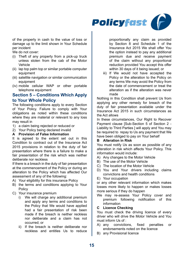

of the property in cash to the value of loss or damage up to the limit shown in Your Schedule per incident

We do not cover:

- (i) Theft of any property from a pick-up truck unless stolen from the cab of the Motor Vehicle
- (ii) lap top palm top or similar portable computer equipment
- (iii) satellite navigation or similar communication equipment
- (iv) mobile cellular WAP or other portable telephone equipment

#### **Section 5 – Conditions Which Apply to Your Whole Policy**

The following conditions apply to every Section of Your Policy. Failure to comply with Your obligations as noted within these conditions where they are material or relevant to any loss may result in

- 1) a claim being rejected or reduced or
- 2) Your Policy being declared invalid

#### **A Provision of False Information**

It is agreed to the extent set out in this Condition to contract out of the Insurance Act 2015 provisions in relation to the duty of fair presentation where there is a failure to make a fair presentation of the risk which was neither deliberate nor reckless

If there is a breach in the duty of fair presentation at the commencement of the Policy or during an alteration to the Policy which has affected Our assessment of any of the following:

- A) Your eligibility for this insurance Policy
- B) the terms and conditions applying to Your Policy
- C) Your insurance premium
	- i) We will charge any additional premium and apply any terms and conditions to the Policy that We would have applied had a fair presentation of risk been made if the breach is neither reckless nor deliberate and a claim has not occurred; or
	- ii) If the breach is neither deliberate nor reckless and entitles Us to reduce

proportionally any claim as provided by Section 8 and Schedule 1 of the Insurance Act 2015 We shall offer You the option instead to pay any additional premium due and receive payment of the claim without any proportional reduction provided You accept this offer within 30 days of it being issued; or

iii) If We would not have accepted the Policy or the alteration to the Policy on any terms We may avoid the Policy from the date of commencement or treat the alteration as if the alteration was never made

Nothing in this Condition shall prevent Us from applying any other remedy for breach of the duty of fair presentation available under the Insurance Act 2015 in such circumstances as the Act allows

In these circumstances. Our Right to Recover Payment clause [Sub-Section 5 of Section 2 - Liability to Third Parties ] will apply and You may be required to repay to Us any payment that We have been obliged to pay on Your behalf

#### **B Alteration in Risk**

You must notify Us as soon as possible of any alteration in risk which affects Your Policy. This information would include:

- A) Any changes to the Motor Vehicle
- B) The use of the Motor Vehicle
- C) The location of the Motor Vehicle
- D) You and Your drivers including claims convictions and health conditions
- E) Your occupation

or any other relevant information which makes losses more likely to happen or makes losses more serious if they do happen

We may re-assess Your Policy cover and premium following notification of this information

#### **C Licence Checking**

You must check the driving licence of every driver who will drive the Motor Vehicle and You must inform Us of :<br>A) any conviction

- A) any convictions, fixed penalties or endorsements noted on the licence
- B) any Provisional licence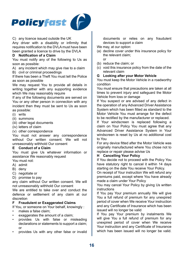

C) any licence issued outside the UK

Any driver with a disability or infirmity that requires notification to the DVLA must have been been granted a licence to drive by the DVLA

#### **D Notification of a Claim**

You must notify any of the following to Us as soon as possible:

A) any incident which may give rise to a claim

B) civil or criminal proceedings

If there has been a Theft You must tell the Police as soon as possible

We may request You to provide all details in writing together with any supporting evidence which We may reasonably require

If any of the following documents are served on You or any other person in connection with any incident then they must be sent to Us as soon as possible:

- (i) writs
- (ii) summons
- (iii) other legal documents
- (iv) letters of claim
- (v) other correspondence

You must not answer any correspondence without Our written consent. We will not unreasonably withhold Our consent

#### **E Conduct of a Claim**

You must give Us whatever information or assistance We reasonably request

You must not:

- A) admit
- B) deny
- C) negotiate or
- D) promise to pay

any claim without Our written consent. We will not unreasonably withhold Our consent

We are entitled to take over and conduct the defence or settlement of any claim at our discretion

#### **F Fraudulent or Exaggerated Claims**

If You, or someone on Your behalf, knowingly :

- makes a false claim:
- exaggerates the amount of a claim;
- provides Us with false or misleading declarations or statements to support a claim; or
- provides Us with any other false or invalid

documents or relies on any fraudulent devices to support a claim

- We may at our option:
- (a) decline cover under this insurance policy for the relevant claim;  $\alpha$ r
- (b) reduce the claim; or
- (c) void this insurance policy from the date of the relevant claim
- **G Looking after your Motor Vehicle**

You must keep the Motor Vehicle in a roadworthy condition

You must ensure that precautions are taken at all times to prevent injury and safeguard the Motor Vehicle from loss or damage

If You suspect or are advised of any defect in the operation of any Advanced Driver Assistance System which has been fitted as standard to the Motor Vehicle You must arrange for the defect to be rectified by the manufacturer or replaced.

If Your windscreen is replaced following a claim on Your Policy You must agree that any Advanced Driver Assistance System in Your windscreen is reset by Us at no additional cost to You

For any device fitted after the Motor Vehicle was originally manufactured where You chose not to replace or repair please advise Us

#### **H Cancelling Your Policy**

If You decide not to proceed with the Policy You have statutory right to cancel it within 14 days starting on the date You receive Your Policy.

On receipt of Your instruction We will refund any premiums paid, except where You have already made a claim under Your Policy

You may cancel Your Policy by giving Us written instructions

If You pay Your premium annually We will give You a full refund of premium for any unexpired period of cover when We receive Your instruction and any Certificate of Insurance which has been issued will no longer be valid

If You pay Your premium by instalments We will give You a full refund of premium for any unexpired period of cover when We receive Your instruction and any Certificate of Insurance which has been issued will no longer be valid.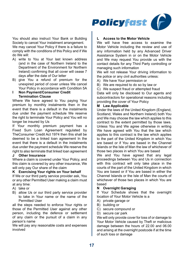

You should also instruct Your Bank or Building Society to cancel Your instalment arrangement. We may cancel Your Policy if there is a failure to comply with the conditions of this Policy and if We do We will:

- A) write to You at Your last known address (and in the case of Northern Ireland to the Department of the Environment for Northern Ireland) confirming that all cover will cease 7 days after the date of Our letter
- B) give You a refund of premium for the unexpired period of cover unless We cancel Your Policy in accordance with Condition 5A

#### **I Non Payment/Consumer Credit Termination Clause**

Where We have agreed to You paying Your premium by monthly instalments then in the event that there is a default in the instalments due under the payment schedule We reserve the right to terminate Your Policy and You will no longer be insured by Us

If Your monthly premium payment has a Fixed Sum Loan Agreement regulated by TheConsumer Credit Act 1974 then this shall be deemed to be a linked loan agreement In the event that there is a default in the instalments due under the payment schedule We reserve the right to also terminate that linked loan agreement

#### **J Other Insurance**

Where a claim is covered under Your Policy, and this claim is covered by any other insurance, We will only pay Our share of the claim

#### **K Exercising Your rights on Your behalf**

If We or our third party service provider ask, You or any other Permitted User making a claim must at any time:

- A) take or
- B) allow Us or our third party service provider to take in Your name or the name of the Permitted User

all the steps needed to enforce Your rights or those of the Permitted User against any other person, including the defence or settlement of any claim or the pursuit of a claim in any person's name

We will pay any reasonable costs and expenses involved

#### **L Access to the Motor Vehicle**

We will have free access to examine the Motor Vehicle including the review and use of any information held by any Advanced Driver Assistance System in or on the Motor Vehicle and We may request You provide us with the contact details for any Third Party controlling or managing such information

We will not release Your driving information to the police or any civil authorities unless:

- A) We have Your permission or
- B) We are required to do so by law or
- C) We suspect fraud or attempted fraud

Data will only be disclosed to Our agents and subcontractors for operational reasons including providing the cover of Your Policy

#### **M Law Applicable**

Under the laws of the United Kingdom (England, Scotland, Wales and Northern Ireland) both You and We may choose the law which applies to this contract to the extent permitted by those laws. Unless You and We agree otherwise in writing We have agreed with You that the law which applies to this contract is the law which applies to the part of the United Kingdom in which You are based or if You are based in the Channel Islands or the Isle of Man the law of whichever of those two places in which You are based

We and You have agreed that any legal proceedings between You and Us in connection with this contract will only take place in the courts of the part of the United Kingdom in which You are based or if You are based in either the Channel Islands or the Isle of Man the courts of whichever of those two places in which You are based

#### **N Overnight Garaging**

If Your Schedule shows that the overnight location of Your Motor Vehicle is a

- A) private garage or
- B) building or
- C) secure compound or
- D) secure car park

We will only provide cover for loss of or damage to Your Motor Vehicle caused by Theft or malicious damage between the hours of 22.00 and 06.00 and arising at the overnight postcode if at the time of such loss or damage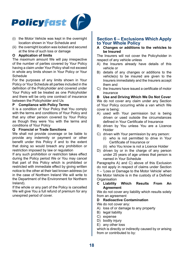

- (i) the Motor Vehicle was kept in the overnight location shown in Your Schedule and
- (ii) the overnight location was locked and secured at the time of such loss or damage

#### **O Application of limits**

The maximum amount We will pay irrespective of the number of parties covered by Your Policy having a claim under Your Policy shall not exceed in whole any limits shown in Your Policy or Your Schedule

For the purposes of any limits shown in Your Policy or Your Schedule all parties included in the definition of the Policyholder and covered under Your Policy will be treated as one Policyholder and there will be only one contract of insurance between the Policyholder and Us

#### **P Compliance with Policy Terms**

It is a condition of Your Policy that You comply with the terms and conditions of Your Policy and that any other person covered by Your Policy as though they were You with the terms and conditions of Your Policy

#### **Q Financial or Trade Sanctions**

We shall not provide coverage or be liable to provide any indemnity or payment or other benefit under this Policy if and to the extent that doing so would breach any prohibition or restriction imposed by law or regulation

If any such prohibition or restriction takes effect during the Policy period We or You may cancel that part of this Policy which is prohibited or restricted with immediate effect by giving written notice to the other at their last known address (or in the case of Northern Ireland We will write to the Department of the Environment for Northern Ireland).

If the whole or any part of the Policy is cancelled We will give You a full refund of premium for any unexpired period of cover.

#### **Section 6 – Exclusions Which Apply to Your Whole Policy**

#### **A Changes or additions to the vehicles to be Insured**

The Insurers will not cover the Policyholder in respect of any vehicle unless

- A) the Insurers already have details of this vehicle or
- B) details of any changes or additions to the vehicle(s) to be insured are given to the Insurers immediately and the Insurers accept them and
- C) the Insurers have issued a certificate of motor insurance

**B Use and Driving Which We Do Not Cover** We do not cover any claim under any Section of Your Policy occurring while a van which We cover is being:

- A) used with Your permission but is being driven or used outside the circumstances defined in Your Certificate of Insurance
- B) driven by You unless You are a Licence Holder
- C) driven with Your permission by any person:
	- (i) who is not permitted to drive in Your Certificate of Insurance or
	- (ii) who You know is not a Licence Holder
- D) driven by or in the charge of any person under 25 years of age unless that person is named in Your Schedule

Paragraphs A) and C) above of this Exclusion do not apply in respect of claims under Section 1 – 'Loss or Damage to the Motor Vehicle' when the Motor Vehicle is in the custody of a Defined **Organisation** 

**C Liability Which Results From An Agreement**

We do not cover any liability which results solely from an agreement

#### **D Radioactive Contamination**

We do not cover any:

- A) loss of or damage to any property
- B) legal liability
- C) expense
- D) bodily injury
- E) any other loss

which is directly or indirectly caused by or arising from or contributed to by: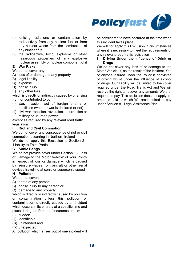

- (i) ionising radiations or contamination by radioactivity from any nuclear fuel or from any nuclear waste from the combustion of any nuclear fuel
- (ii) the radioactive, toxic, explosive or other hazardous properties of any explosive nuclear assembly or nuclear component of it

#### **E War Risks**

We do not cover any:

- A) loss of or damage to any property
- B) legal liability
- C) expense
- D) bodily injury
- E) any other loss

which is directly or indirectly caused by or arising from or contributed to by:

- (i) war, invasion, act of foreign enemy or hostilities (whether war is declared or not)
- (ii) civil war, rebellion, revolution, insurrection or military or usurped power

except as required by any relevant road traffic legislation<br>**F** Riot a

#### **Riot and Civil Commotion**

We do not cover any consequence of riot or civil commotion occurring in Northern Ireland We do not apply this Exclusion to Section 2 -'Liability to Third Parties'

#### **G Sonic Bangs**

We do not provide cover under Section 1 - 'Loss' or Damage to the Motor Vehicle' of Your Policy in espect of loss or damage which is caused by ressure waves from aircraft or other aerial devices travelling at sonic or supersonic speed **H Pollution**

We do not cover:

- A) death of any person
- B) bodily injury to any person or
- C) damage to any property

which is directly or indirectly caused by pollution or contamination unless this pollution or contamination is directly caused by an incident which occurs in its entirety at a specific time and place during the Period of Insurance and is:

- (i) sudden
- (ii) identifiable
- (iii) unintended and
- (iv) unexpected

All pollution which arises out of one incident will

be considered to have occurred at the time when this incident takes place

We will not apply this Exclusion in circumstances where it is necessary to meet the requirements of any relevant road traffic legislation

#### **I Driving Under the Influence of Drink or Drugs**

We do not cover any loss of or damage to the Motor Vehicle, if, as the result of the incident, You or anyone insured under the Policy is convicted of driving whilst under the influence of alcohol or drugs. Our liability will be limited to the cover required under the Road Traffic Act and We will reserve the right to recover any amounts We are required to pay. This exclusion does not apply to amounts paid or which We are required to pay under Section 8 - Legal Assistance Plan.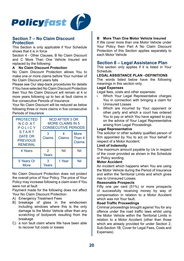

#### **Section 7 – No Claim Discount Protection**

This Section is only applicable if Your Schedule shows that it is in force

Section 4 - Other Clauses, B No Claim Discount and C More Than One Vehicle Insured are replaced by the following:

#### **A No Claim Discount Protection**

No Claim Discount Protection allows You to make one or more claims before Your number of No Claim Discount years falls

Please see Our step-back procedures for details If You have selected No Claim Discount Protection then Your No Claim Discount will remain at 4 or more years following up to two at fault claims in five consecutive Periods of Insurance

Your No Claim Discount will be reduced as below following three or more claims in five consecutive Periods of Insurance

| <b>PROTECTED</b><br><b>NCDAT</b><br>POLICY                   | <b>NCD AFTER 3 OR</b><br><b>MORE CLAIMS IN 5</b><br><b>CONSECUTIVE PERIODS</b> |        |                                 |
|--------------------------------------------------------------|--------------------------------------------------------------------------------|--------|---------------------------------|
| <b>START</b><br>DATE OR<br><b>PREVIOUS</b><br><b>RENEWAL</b> | <b>Claims</b>                                                                  | Claims | <b>More</b><br>Than 4<br>Claims |
| 4 Years                                                      | $\mathcal{P}$<br>Years                                                         | Nil    | Nil                             |
| 5 Years Or<br>More                                           | Years                                                                          | 1 Year | Nil                             |

No Claim Discount Protection does not protect the overall price of Your Policy. The price of Your Policy may increase following a claim even if You were not at fault

Payment made for the following does not affect Your No Claim Discount Protection:

- A) Emergency Treatment Fees
- B) breakage of glass in the windscreen including windows where this is the only damage to the Motor Vehicle other than any scratching of bodywork resulting from the breakage
- C) a non fault claim where We have been able to recover full costs or losses

#### **B More Than One Motor Vehicle Insured**

If We cover more than one Motor Vehicle under Your Policy then Part A No Claim Discount Protection of this Section applies separately to each Motor Vehicle

#### **Section 8 – Legal Assistance Plan**

This section only applies if it is listed in Your Schedule.

#### **LEGAL ASSISTANCE PLAN –DEFINITIONS**

The words listed below have the following meanings in this section only.

#### **Legal Expenses**

Legal fees, costs and other expenses:<br>i Which Your Legal Representative

- Which Your Legal Representative charges You in connection with bringing a claim for Uninsured Losses
- ii. Which are incurred by Your opponent or other party and which a court has ordered You to pay or which You have agreed to pay on the advice of Your Legal Representative arising from Legal Proceedings

#### **Legal Representative**

The solicitor or other suitably qualified person of firm appointed by You to act on Your behalf in respect of a Motor Accident.

#### **Limit of Indemnity**

The maximum amount payable by Us in respect of the cover provided as shown in the Schedule or Policy wording.

#### **Motor Accident**

An incident which happens when You are using the Motor Vehicle during the Period of Insurance and within the Territorial Limits and which gives rise to Uninsured Losses.

#### **Reasonable Prospects**

Fifty one per cent (51%) or more prospects of successfully receiving money by way of compensation in relation to a Motor Accident which was not Your fault.

#### **Road Traffic Proceedings**

Criminal proceedings brought against You for any offence under the road traffic laws whilst using the Motor Vehicle within the Territorial Limits in relation to a Motor Accident (other than those which are already provided for under Section 2, Sub-Section 1B, Cover for Legal Fees, Costs and Expenses).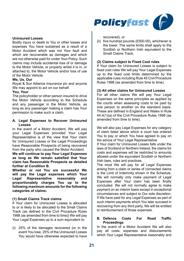

#### **Uninsured Losses**

Bodily injury or death to You or other losses and expenses You have sustained as a result of a Motor Accident which was not Your fault and which are recoverable as damages and which are not otherwise paid for under Your Policy. Such claims may include accidental loss of or damage to the Motor Vehicle, or property whilst it is in, or attached to, the Motor Vehicle and/or loss of use of the Motor Vehicle.

#### **We, Us, Our**

Royal & Sun Alliance Insurance plc and anyone We may appoint to act on our behalf.

#### **You, Your**

The policyholder or other person insured to drive the Motor Vehicle according to the Schedule and any passenger in the Motor Vehicle, as long as any passenger making a claim has Your permission to make such a claim.

#### **A. Legal Expenses to Recover Uninsured Losses**

In the event of a Motor Accident, We will pay your Legal Expenses provided Your Legal Representative is of the view that Your claim for Uninsured Losses or the Legal Proceedings have Reasonable Prospects of being recovered from the party who caused the Motor Accident.

**We will continue to pay Your Legal Expenses as long as We remain satisfied that Your claim has Reasonable Prospects as detailed further at Condition B.**

**Whether or not You are successful We will pay the Legal expenses which Your Legal Representative reasonably and proportionately charges You up to the following maximum amounts for the following categories of claims:**

#### **(1) Small Claims Track claims**

If Your claim for Uninsured Losses is allocated to or is likely to be allocated to the Small Claims Track (as defined in the Civil Procedure Rules 1998 (as amended from time to time)) We will pay Your Legal Expenses up to a sum equivalent to:

(i) 25% of the damages recovered (or in the event You lose, 25% of the Uninsured Losses You would have otherwise expected to have recovered), or

(ii) five hundred pounds (£500.00), whichever is the lower. The same limits shall apply to the Scottish or Northern Irish equivalent to the Small Claims Track.

#### **(2) Claims subject to Fixed Cost rules**

If Your claim for Uninsured Losses is subject to fixed cost rules We will pay Your Legal Expenses up to the fixed cost limits determined by the applicable rules including Rule 45 Civil Procedure Rules 1998 (as amended from time to time).

#### **(3) All other claims for Uninsured Losses**

For all other claims We will pay Your Legal Expenses on the same principles as applied by the courts when assessing costs to be paid by one person to another on the standard basis. These are defined in England and Wales in Rule 44.4(1)(a) of the Civil Procedure Rules 1998 (as amended from time to time).

We will also pay Legal Expenses for any category of claim listed above which a court has ordered You to pay or which You have agreed to pay on the advice of Your Legal Representative.

If Your claim for Uninsured Losses falls under the laws of Scotland or Northern Ireland, the claims for costs and expenses will be restricted to amounts allowed under the equivalent Scottish or Northern Irish laws, rules and practices.

The most We will pay for all Legal Expenses arising from a claim or series of connected claims is the Limit of Indemnity shown in the Schedule. We will normally only make payment of Legal Expenses after Your claim has been finally concluded. We will not normally agree to make payment on an interim basis except in exceptional circumstances and subject to Our sole discretion. If We have paid for any Legal Expenses as part of such interim payments which You later succeed in recovering from any third party, We will be entitled to reimbursement of those expenses.

#### **B. Defence Costs For Road Traffic Proceedings**

In the event of a Motor Accident We will also pay all costs, expenses and disbursements which Your Legal Representative reasonably and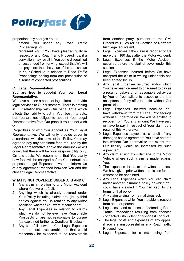

proportionately charges You to:

- defend You under any Road Traffic Proceedings, or
- represent You if You have pleaded guilty in respect of any Road Traffic Proceedings, if a conviction may result in You being disqualified or suspended from driving, except that We will not pay more than the value of the sum shown in Your Schedule in relation to Road Traffic Proceedings arising from one prosecution or a series of connected prosecutions.

#### **C. Legal Representation**

#### **You are free to appoint Your own Legal Representative.**

We have chosen a panel of legal firms to provide legal services to Our customers. There is nothing in Our relationship with Our panel firms which affects their ability to act in Your best interests, but You are not obliged to appoint Your Legal Representative from Our panel if You do not wish to.

Regardless of who You appoint as Your Legal Representative, We will only provide cover in accordance with the terms of this Policy. You may agree to pay any additional fees required by the Legal Representative above the amount We will cover, but these will be your responsibility only. On this basis, We recommend that You clarify how fees will be charged before You instruct the proposed Legal Representative and inform Us of any agreement reached between You and the chosen Legal Representative.

#### **WHAT IS NOT COVERED UNDER A, B AND C**

- 1. Any claim in relation to any Motor Accident where You were at fault.
- 2. Anything which is already covered under Your Policy including claims brought by third parties against You in relation to any Motor Accident, whether You were at fault or not.
- 3. Any Legal Expenses in relation to claims which we do not believe have Reasonable Prospects or are not reasonable to pursue (as explained further at Condition B below).
- 4. Any shortfall between Your Legal Expenses and the costs recoverable, or that would reasonably be expected to be recoverable

from another party, pursuant to the Civil Procedure Rules (or its Scottish or Northern Irish legal equivalent).

- 5. Legal Expenses if the claim is reported to Us more than 180 days after the Motor Accident.
- 6. Legal Expenses if the Motor Accident occurred before the start of cover under this section.
- 7. Legal Expenses incurred before We have accepted the claim in writing unless this has been agreed by Us.
- 8. Any Legal Expenses incurred and/or which You have been ordered to or agreed to pay as a result of delays or unreasonable behaviour by You or Your failure to accept or the late acceptance of any offer to settle, without Our permission.
- 9. Legal Expenses incurred because You have withdrawn from the Legal Proceedings without Our permission. We will be entitled to recover from You any amount We have paid or have to pay in respect of Your claim as a result of this withdrawal.
- 10. Legal Expenses payable as a result of any damages based agreement You have entered into without Our approval to the extent that Our liability would be increased by such agreement
- 11. Any claim arising from damage to the Motor Vehicle where such claim is made against You.
- 12. The expenses for an expert witness, unless We have given prior written permission for the witness to be appointed.
- 13. Any Legal Expenses which You can claim under another insurance policy or which You could have claimed if You had kept to the terms of that policy.
- 14. Any claim arising from a malicious act.
- 15. Legal Expenses which You are able to recover from another person.
- 16. Legal costs and expenses of defending Road Traffic Proceedings resulting from offences connected with violent or dishonest conduct.
- 17. The legal costs and expenses of any appeal if You are unsuccessful in any Road Traffic Proceedings.
- 18. Legal Expenses for claims arising from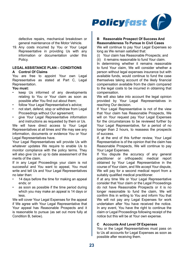

defective repairs, mechanical breakdown or general maintenance of the Motor Vehicle.

19. Any costs incurred by You or Your Legal Representative in providing Us with any information or documentation under this Policy.

#### **LEGAL ASSISTANCE PLAN – CONDITIONS A Control Of Claims**

You are free to appoint Your own Legal Representative as stated at Part C, Legal Representation.

#### **You must:**

- keep Us informed of any developments relating to You or Your claim as soon as possible after You find out about them;
- follow Your Legal Representative's advice;
- not start, defend, stop or withdraw from Legal Proceedings without Our agreement;
- give Your Legal Representative information and instructions as requested by them or Us.

We will have direct access to Your Legal Representatives at all times and We may see any information, documents or evidence You or Your Legal Representatives have.

Your Legal Representatives will provide Us with whatever updates We require to enable Us to monitor compliance with the policy terms. They will also give Us an up to date assessment of the merits of the claim.

If in any Legal Proceedings your claim is not successful and You want to appeal. You must write and tell Us and Your Legal Representatives no later than:

- 14 days before the time for making an appeal ends; or
- as soon as possible if the time period during which you may make an appeal is 14 days or less.

We will cover Your Legal Expenses for the appeal if We agree with Your Legal Representative that Your appeal has Reasonable Prospects and it is reasonable to pursue (as set out more fully at Condition B, below).

#### **B Reasonable Prospect Of Success And Reasonableness To Pursue In Civil Cases**

We will continue to pay Your Legal Expenses so long as We remain satisfied that:

(i) Your claim has Reasonable Prospects; and

(ii) it remains reasonable to fund Your claim.

In determining whether it remains reasonable to fund Your claim, We will consider whether a person without legal expenses insurance but with available funds, would continue to fund the case themselves taking account of the likely financial compensation available from the claim compared to the legal costs to be incurred in obtaining that compensation.

We will also take into account the legal opinion provided by Your Legal Representatives in reaching Our decision.

If Your Legal Representative is not of the view that Your claim has Reasonable Prospects, We will on Your request pay Your Legal Expenses for the circumstances to be reviewed further by Your Legal Representative, for a period of no longer than 2 hours, to reassess the prospects of success.

If, at the end of this further review, Your Legal Representative is of the opinion that the claim has Reasonable Prospects, We will continue to pay Your Legal Expenses.

If You dispute the accuracy of any general practitioner or orthopaedic medical report obtained by Your Legal Representative in the course of Your claim, and We accept Your dispute, We will pay for a second medical report from a suitably qualified medical practitioner.

If at any time We or Your Legal Representative consider that Your claim or the Legal Proceedings do not have Reasonable Prospects or it is no longer reasonable to fund the claim, We will confirm this in writing to You and inform You that We will not pay any Legal Expenses for work undertaken after You have received the notice. In any event, You have the right to continue the claim or Legal Proceedings following receipt of the notice but this will be at Your own expense.

#### **C Accounts And Level Of Expenses**

You or the Legal Representatives must pass on to Us all accounts for Legal Expenses as soon as possible after receiving them.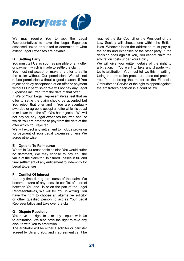

We may require You to ask the Legal Representatives to have the Legal Expenses assessed, taxed or audited to determine to what extent Legal Expenses are payable.

#### **D Settling Early**

You must tell Us as soon as possible of any offer or payment which is made to settle the claim.

You must not accept or make any offer to settle the claim without Our permission. We will not refuse permission without a good reason. If You reject or delay acceptance of an offer or payment without Our permission We will not pay any Legal Expenses incurred from the date of that offer.

If We or Your Legal Representatives feel that an offer to settle the claim should be accepted but You reject that offer and if You are eventually awarded or agree to accept an offer which is equal to or lower than the offer You had rejected, We will not pay for any legal expenses incurred and/ or which You are ordered to pay from the date of the offer which You rejected.

We will expect any settlement to include provision for payment of Your Legal Expenses unless We agree otherwise.

#### **E Options To Reimburse**

Where in Our reasonable opinion You would suffer no detriment, We may choose to pay You the value of the claim for Uninsured Losses in full and final settlement of any entitlement to indemnity for Legal Expenses.

#### **F Conflict Of Interest**

If at any time during the course of the claim, We become aware of any possible conflict of interest between You and Us or on the part of the Legal Representatives, We will tell You in writing. You have the right to choose an alternative solicitor or other qualified person to act as Your Legal Representative and take over the claim.

#### **G Dispute Resolution**

You have the right to take any dispute with Us to arbitration. We also have the right to take any dispute with You to arbitration.

The arbitrator will be either a solicitor or barrister agreed by Us and You, and if agreement can't be

reached the Bar Council or the President of the Law Society will choose one within the British Isles. Whoever loses the arbitration must pay all the costs and expenses of the other party. If the decision goes against You, You cannot claim the arbitration costs under Your Policy.

We will give you written details of the right to arbitration. If You want to take any dispute with Us to arbitration, You must tell Us this in writing. Using the arbitration procedure does not prevent You from referring the matter to the Financial Ombudsman Service or the right to appeal against the arbitrator's decision in a court of law.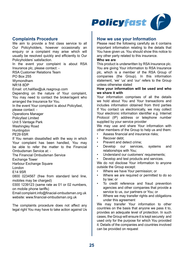

#### **Complaints Procedure**

We aim to provide a first class service to all Our Policyholders, however occasionally an enquiry or a complaint may arise which will usually be resolved quickly and efficiently to Our Policyholders' satisfaction.

In the event your complaint is about RSA Insurance plc, please contact: - RSA Customer Relations Team

PO Box 255

Wymondham

NR18 8DP

Email: crt.halifax@uk.rsagroup.com

Depending on the nature of Your complaint You may need to contact the broker/agent who arranged the Insurance for You.

In the event Your complaint is about Policyfast,

please contact: -

Operations Manager

Policyfast Limited

Unit 5 Vantage Park

Washingley Road

**Huntingdon** 

PE29 6SR

If You remain dissatisfied with the way in which Your complaint has been handled, You may be able to refer the matter to the Financial Ombudsman Service at: -

The Financial Ombudsman Service

Exchange Tower

Harbour Exchange Square

London

E14 9SR

0800 0234567 (free from standard land line, mobiles may be charged)

0300 1239123 (same rate as 01 or 02 numbers, on mobile phone tariffs)

Email:complaint.info@finacial-ombudsman.org.uk website: www.financial-ombudsman.org.uk

The complaints procedure does not affect any legal right You may have to take action against Us

#### **How we use your Information**

Please read the following carefully as it contains important information relating to the details that You have given us. You should show this notice to any other party related to this insurance.

#### **Who we are**

This product is underwritten by RSA Insurance plc. You are giving Your information to RSA Insurance plc, which is a member of the RSA Group of companies (the Group). In this information statement, 'we' 'us' and 'our' refers to the Group unless otherwise stated

#### **How your information will be used and who we share it with**

Your information comprises of all the details we hold about You and Your transactions and includes information obtained from third parties If You contact us electronically, we may collect Your electronic information identifier e.g. Internet Protocol (IP) address or telephone number supplied by your service provider

We may use and share Your information with other members of the Group to help us and them:

- Assess financial and insurance risks:
- Recover debt;
- Prevent and detect crime:
- Develop our services, systems and relationships with You;
- Understand our customers' requirements;
- Develop and test products and services.

We do not disclose Your information to anyone outside the Group except:

- Where we have Your permission; or
- Where we are required or permitted to do so by law; or
- To credit reference and fraud prevention agencies and other companies that provide a service to us, our partners or You; or
- Where we may transfer rights and obligations under this agreement

We may transfer Your information to other countries on the basis that anyone we pass it to, provides an adequate level of protection. In such cases, the Group will ensure it is kept securely and used only for the purpose for which You provided it. Details of the companies and countries involved can be provided on request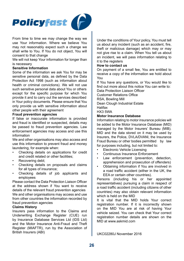

From time to time we may change the way we use Your information. Where we believe You may not reasonably expect such a change we shall write to You. If You do not object, You will consent to that change

We will not keep Your information for longer than is necessary

#### **Sensitive Information**

Some of the information we ask You for may be sensitive personal data, as defined by the Data Protection Act 1998 (such as information about health or criminal convictions). We will not use such sensitive personal data about You or others except for the specific purpose for which You provide it and to carry out the services described in Your policy documents. Please ensure that You only provide us with sensitive information about other people with their agreement

#### **Fraud prevention agencies**

If false or inaccurate information is provided and fraud is identified or suspected, details may be passed to fraud prevention agencies. Law enforcement agencies may access and use this information

We and other organisations may also access and use this information to prevent fraud and money laundering, for example when:

- Checking details on applications for credit and credit related or other facilities;
- Recovering debt:
- Checking details on proposals and claims for all types of insurance;
- Checking details of job applicants and employees

Please contact the Data Protection Liaison Officer at the address shown if You want to receive details of the relevant fraud prevention agencies We and other organisations may access and use from other countries the information recorded by fraud prevention agencies

#### **Claims History**

Insurers pass information to the Claims and Underwriting Exchange Register (CUE) run by Insurance Database Services Ltd (IDS Ltd) and the Motor Insurance Anti-Fraud and Theft Register (MIAFTR), run by the Association of British Insurers (ABI)

Under the conditions of Your policy, You must tell us about any incident (such as an accident, fire, theft or malicious damage) which may or may not give rise to a claim. When You tell us about an incident, we will pass information relating to it to the registers

#### **How to contact us**

On payment of a small fee, You are entitled to receive a copy of the information we hold about You

If You have any questions, or You would like to find out more about this notice You can write to: Data Protection Liaison Officer

Customer Relations Office RSA, Bowling Mill Dean Clough Industrial Estate Halifax

HX3 5WA

#### **Motor Insurance Database**

Information relating to motor insurance policies will be added to the Motor Insurance Database (MID) managed by the Motor Insurers' Bureau (MIB). MID and the data stored on it may be used by Insurers, the Police, DVLA/DVANI, the Insurance Fraud Bureau or other bodies permitted by law for purposes including, but not limited to:

- Electronic Vehicle Licensing
- Continuous Insurance Enforcement
- Law enforcement (prevention, detection, apprehension and prosecution of offenders)
- Obtaining information if You are involved in a road traffic accident (either in the UK, the EEA or certain other countries).

Persons (including his or her appointed representatives) pursuing a claim in respect of a road traffic accident (including citizens of other countries) may also obtain relevant information which is held on the MID

It is vital that the MID holds Your correct registration number. If it is incorrectly shown on the MID You are at risk of having Your vehicle seized. You can check that Your correct registration number details are shown on the MID at www.askmid.com

UKC02280J November 2016